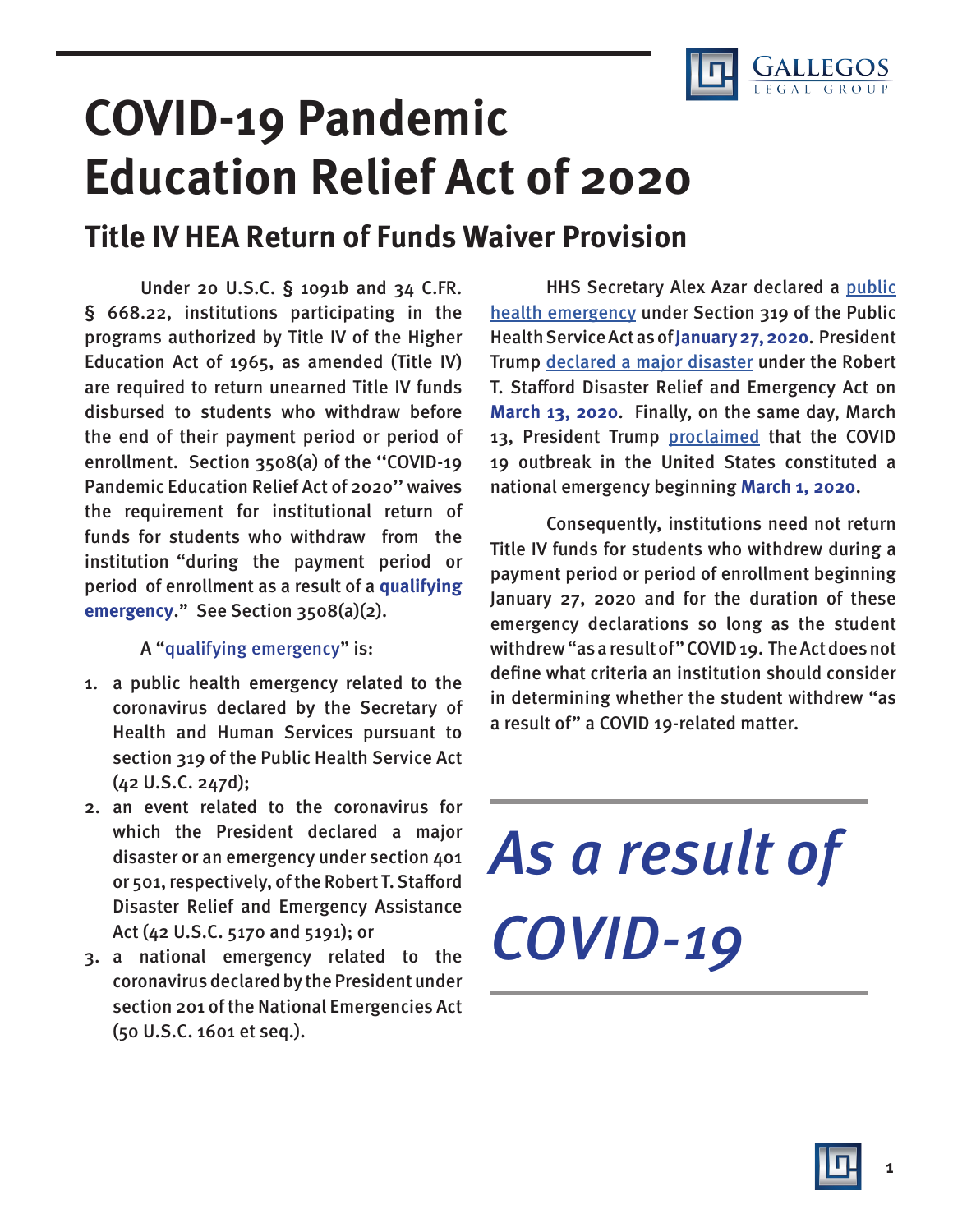

## **COVID-19 Pandemic Education Relief Act of 2020 Title IV HEA Return of Funds Waiver Provision**

Under 20 U.S.C. § 1091b and 34 C.FR. § 668.22, institutions participating in the programs authorized by Title IV of the Higher Education Act of 1965, as amended (Title IV) are required to return unearned Title IV funds disbursed to students who withdraw before the end of their payment period or period of enrollment. Section 3508(a) of the ''COVID-19 Pandemic Education Relief Act of 2020'' waives the requirement for institutional return of funds for students who withdraw from the institution "during the payment period or period of enrollment as a result of a **qualifying emergency**." See Section 3508(a)(2).

## A "qualifying emergency" is:

- 1. a public health emergency related to the coronavirus declared by the Secretary of Health and Human Services pursuant to section 319 of the Public Health Service Act (42 U.S.C. 247d);
- 2. an event related to the coronavirus for which the President declared a major disaster or an emergency under section 401 or 501, respectively, of the Robert T. Stafford Disaster Relief and Emergency Assistance Act (42 U.S.C. 5170 and 5191); or
- 3. a national emergency related to the coronavirus declared by the President under section 201 of the National Emergencies Act (50 U.S.C. 1601 et seq.).

HHS Secretary Alex Azar declared a public [health emergency](https://www.phe.gov/emergency/news/healthactions/phe/Pages/2019-nCoV.aspx) under Section 319 of the Public Health Service Act as of **January 27, 2020**. President Trump [declared a major disaster](https://www.scribd.com/document/451600062/Read-Trump-letter-declaring-coronavirus-national-emergency-under-Stafford-Act#fullscreen&from_embed) under the Robert T. Stafford Disaster Relief and Emergency Act on **March 13, 2020**. Finally, on the same day, March 13, President Trump [proclaimed](https://www.whitehouse.gov/presidential-actions/proclamation-declaring-national-emergency-concerning-novel-coronavirus-disease-covid-19-outbreak/) that the COVID 19 outbreak in the United States constituted a national emergency beginning **March 1, 2020**.

Consequently, institutions need not return Title IV funds for students who withdrew during a payment period or period of enrollment beginning January 27, 2020 and for the duration of these emergency declarations so long as the student withdrew "as a result of" COVID 19. The Act does not define what criteria an institution should consider in determining whether the student withdrew "as a result of" a COVID 19-related matter.

## As a result of COVID-19



**1**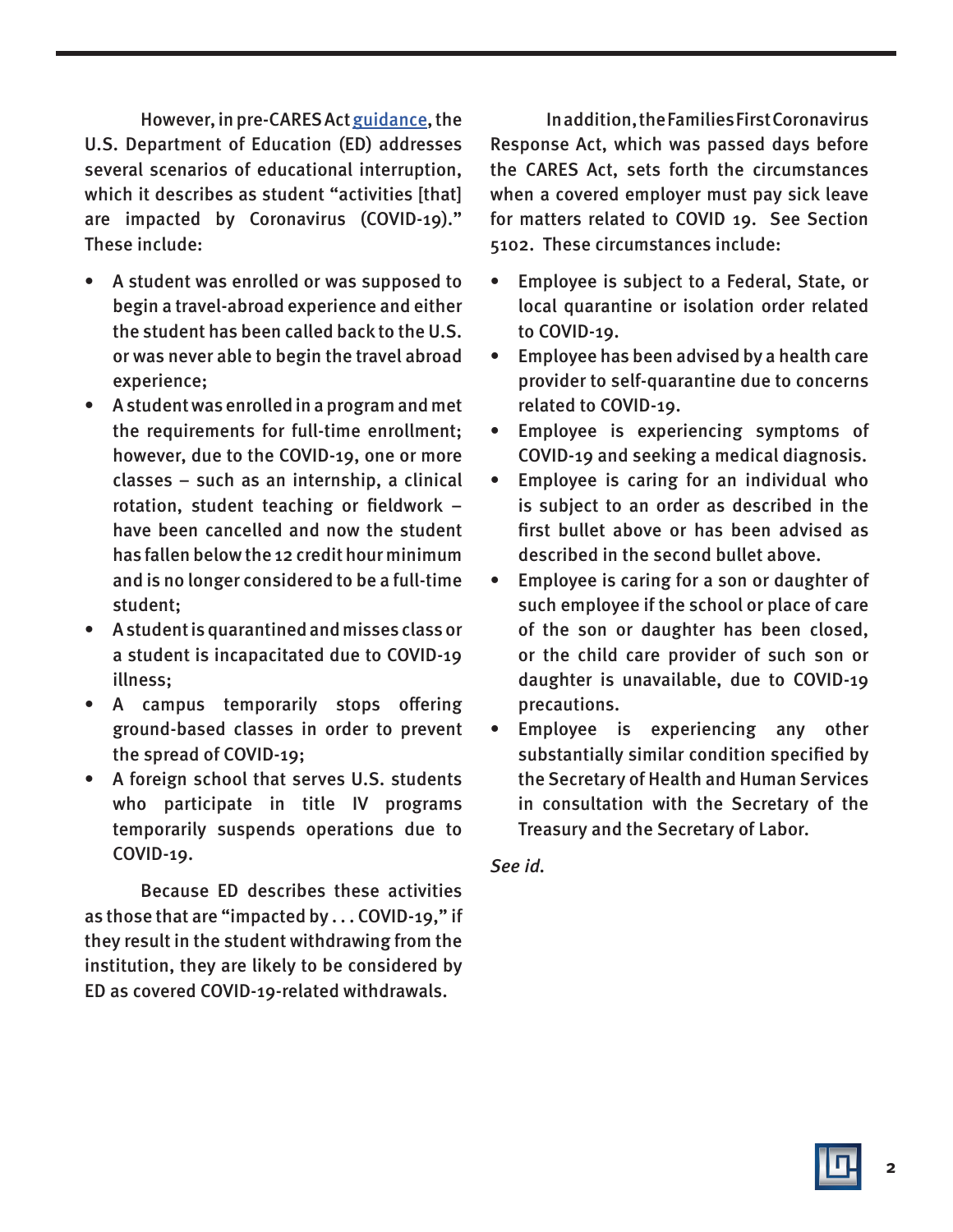However, in pre-CARES Act [guidance,](https://ifap.ed.gov/electronic-announcements/030520Guidance4interruptionsrelated2CoronavirusCOVID19) the U.S. Department of Education (ED) addresses several scenarios of educational interruption, which it describes as student "activities [that] are impacted by Coronavirus (COVID-19)." These include:

- A student was enrolled or was supposed to begin a travel-abroad experience and either the student has been called back to the U.S. or was never able to begin the travel abroad experience;
- A student was enrolled in a program and met the requirements for full-time enrollment; however, due to the COVID-19, one or more classes – such as an internship, a clinical rotation, student teaching or fieldwork – have been cancelled and now the student has fallen below the 12 credit hour minimum and is no longer considered to be a full-time student;
- A student is quarantined and misses class or a student is incapacitated due to COVID-19 illness;
- A campus temporarily stops offering ground-based classes in order to prevent the spread of COVID-19;
- A foreign school that serves U.S. students who participate in title IV programs temporarily suspends operations due to COVID-19.

Because ED describes these activities as those that are "impacted by . . . COVID-19," if they result in the student withdrawing from the institution, they are likely to be considered by ED as covered COVID-19-related withdrawals.

In addition, the Families First Coronavirus Response Act, which was passed days before the CARES Act, sets forth the circumstances when a covered employer must pay sick leave for matters related to COVID 19. See Section 5102. These circumstances include:

- Employee is subject to a Federal, State, or local quarantine or isolation order related to COVID-19.
- Employee has been advised by a health care provider to self-quarantine due to concerns related to COVID-19.
- Employee is experiencing symptoms of COVID-19 and seeking a medical diagnosis.
- Employee is caring for an individual who is subject to an order as described in the first bullet above or has been advised as described in the second bullet above.
- Employee is caring for a son or daughter of such employee if the school or place of care of the son or daughter has been closed, or the child care provider of such son or daughter is unavailable, due to COVID-19 precautions.
- Employee is experiencing any other substantially similar condition specified by the Secretary of Health and Human Services in consultation with the Secretary of the Treasury and the Secretary of Labor.

## See id.